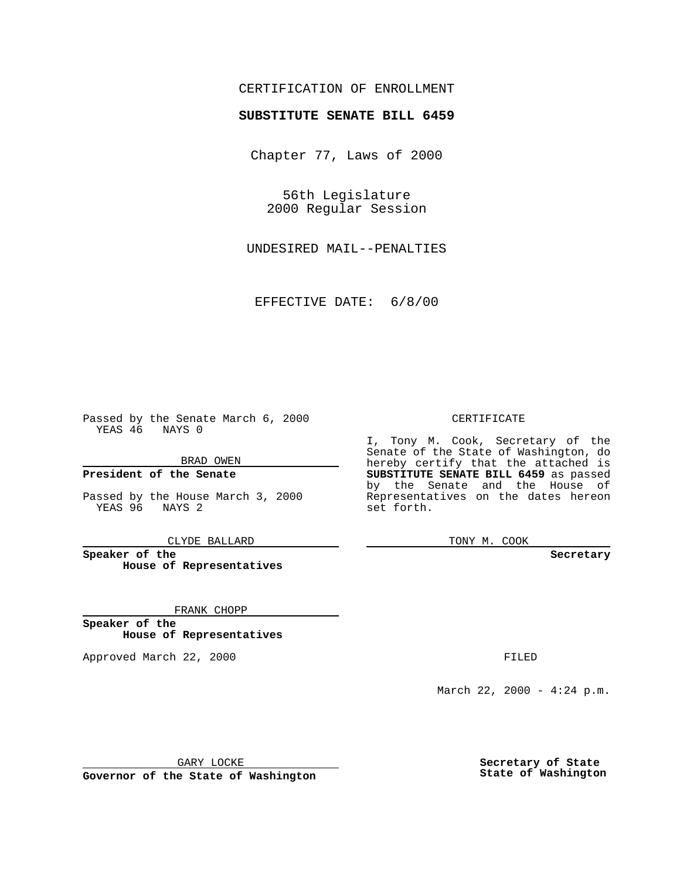## CERTIFICATION OF ENROLLMENT

## **SUBSTITUTE SENATE BILL 6459**

Chapter 77, Laws of 2000

56th Legislature 2000 Regular Session

UNDESIRED MAIL--PENALTIES

EFFECTIVE DATE: 6/8/00

Passed by the Senate March 6, 2000 YEAS 46 NAYS 0

BRAD OWEN

**President of the Senate**

Passed by the House March 3, 2000 YEAS 96 NAYS 2

CLYDE BALLARD

**Speaker of the House of Representatives**

FRANK CHOPP

**Speaker of the House of Representatives**

Approved March 22, 2000 FILED

## CERTIFICATE

I, Tony M. Cook, Secretary of the Senate of the State of Washington, do hereby certify that the attached is **SUBSTITUTE SENATE BILL 6459** as passed by the Senate and the House of Representatives on the dates hereon set forth.

TONY M. COOK

**Secretary**

March 22, 2000 - 4:24 p.m.

GARY LOCKE

**Governor of the State of Washington**

**Secretary of State State of Washington**